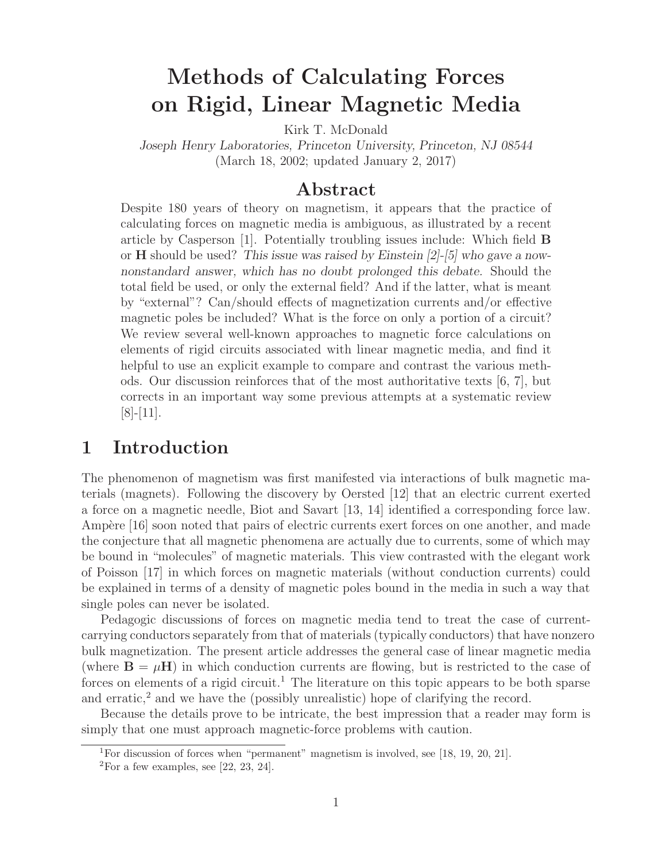# **Methods of Calculating Forces on Rigid, Linear Magnetic Media**

Kirk T. McDonald

*Joseph Henry Laboratories, Princeton University, Princeton, NJ 08544* (March 18, 2002; updated January 2, 2017)

#### **Abstract**

Despite 180 years of theory on magnetism, it appears that the practice of calculating forces on magnetic media is ambiguous, as illustrated by a recent article by Casperson [1]. Potentially troubling issues include: Which field **B** or **H** should be used? *This issue was raised by Einstein [2]-[5] who gave a nownonstandard answer, which has no doubt prolonged this debate.* Should the total field be used, or only the external field? And if the latter, what is meant by "external"? Can/should effects of magnetization currents and/or effective magnetic poles be included? What is the force on only a portion of a circuit? We review several well-known approaches to magnetic force calculations on elements of rigid circuits associated with linear magnetic media, and find it helpful to use an explicit example to compare and contrast the various methods. Our discussion reinforces that of the most authoritative texts [6, 7], but corrects in an important way some previous attempts at a systematic review [8]-[11].

### **1 Introduction**

The phenomenon of magnetism was first manifested via interactions of bulk magnetic materials (magnets). Following the discovery by Oersted [12] that an electric current exerted a force on a magnetic needle, Biot and Savart [13, 14] identified a corresponding force law. Ampère [16] soon noted that pairs of electric currents exert forces on one another, and made the conjecture that all magnetic phenomena are actually due to currents, some of which may be bound in "molecules" of magnetic materials. This view contrasted with the elegant work of Poisson [17] in which forces on magnetic materials (without conduction currents) could be explained in terms of a density of magnetic poles bound in the media in such a way that single poles can never be isolated.

Pedagogic discussions of forces on magnetic media tend to treat the case of currentcarrying conductors separately from that of materials (typically conductors) that have nonzero bulk magnetization. The present article addresses the general case of linear magnetic media (where  $\mathbf{B} = \mu \mathbf{H}$ ) in which conduction currents are flowing, but is restricted to the case of forces on elements of a rigid circuit.<sup>1</sup> The literature on this topic appears to be both sparse and erratic, $^2$  and we have the (possibly unrealistic) hope of clarifying the record.

Because the details prove to be intricate, the best impression that a reader may form is simply that one must approach magnetic-force problems with caution.

<sup>&</sup>lt;sup>1</sup>For discussion of forces when "permanent" magnetism is involved, see [18, 19, 20, 21].

 $2^2$ For a few examples, see [22, 23, 24].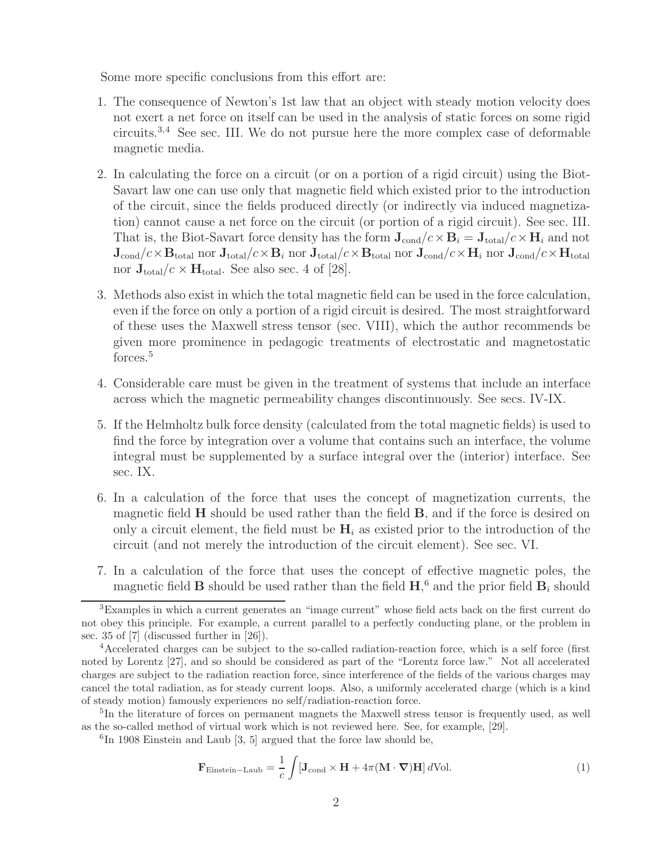Some more specific conclusions from this effort are:

- 1. The consequence of Newton's 1st law that an object with steady motion velocity does not exert a net force on itself can be used in the analysis of static forces on some rigid circuits.3,4 See sec. III. We do not pursue here the more complex case of deformable magnetic media.
- 2. In calculating the force on a circuit (or on a portion of a rigid circuit) using the Biot-Savart law one can use only that magnetic field which existed prior to the introduction of the circuit, since the fields produced directly (or indirectly via induced magnetization) cannot cause a net force on the circuit (or portion of a rigid circuit). See sec. III. That is, the Biot-Savart force density has the form  $J_{cond}/c \times B_i = J_{total}/c \times H_i$  and not  $\mathbf{J}_{\text{cond}}/c \times \mathbf{B}_{\text{total}}$  nor  $\mathbf{J}_{\text{total}}/c \times \mathbf{B}_{i}$  nor  $\mathbf{J}_{\text{total}}/c \times \mathbf{B}_{\text{total}}$  nor  $\mathbf{J}_{\text{cond}}/c \times \mathbf{H}_{i}$  nor  $\mathbf{J}_{\text{cond}}/c \times \mathbf{H}_{\text{total}}$ nor  $J_{total}/c \times H_{total}$ . See also sec. 4 of [28].
- 3. Methods also exist in which the total magnetic field can be used in the force calculation, even if the force on only a portion of a rigid circuit is desired. The most straightforward of these uses the Maxwell stress tensor (sec. VIII), which the author recommends be given more prominence in pedagogic treatments of electrostatic and magnetostatic forces.<sup>5</sup>
- 4. Considerable care must be given in the treatment of systems that include an interface across which the magnetic permeability changes discontinuously. See secs. IV-IX.
- 5. If the Helmholtz bulk force density (calculated from the total magnetic fields) is used to find the force by integration over a volume that contains such an interface, the volume integral must be supplemented by a surface integral over the (interior) interface. See sec. IX.
- 6. In a calculation of the force that uses the concept of magnetization currents, the magnetic field **H** should be used rather than the field **B**, and if the force is desired on only a circuit element, the field must be  $H_i$  as existed prior to the introduction of the circuit (and not merely the introduction of the circuit element). See sec. VI.
- 7. In a calculation of the force that uses the concept of effective magnetic poles, the magnetic field **B** should be used rather than the field  $H$ <sup>6</sup>, and the prior field  $B_i$  should

 ${}^{6}$ In 1908 Einstein and Laub [3, 5] argued that the force law should be,

$$
\mathbf{F}_{\text{Einstein-Laub}} = \frac{1}{c} \int [\mathbf{J}_{\text{cond}} \times \mathbf{H} + 4\pi (\mathbf{M} \cdot \mathbf{\nabla}) \mathbf{H}] d\text{Vol}.
$$
 (1)

<sup>&</sup>lt;sup>3</sup>Examples in which a current generates an "image current" whose field acts back on the first current do not obey this principle. For example, a current parallel to a perfectly conducting plane, or the problem in sec. 35 of [7] (discussed further in [26]).

<sup>4</sup>Accelerated charges can be subject to the so-called radiation-reaction force, which is a self force (first noted by Lorentz [27], and so should be considered as part of the "Lorentz force law." Not all accelerated charges are subject to the radiation reaction force, since interference of the fields of the various charges may cancel the total radiation, as for steady current loops. Also, a uniformly accelerated charge (which is a kind of steady motion) famously experiences no self/radiation-reaction force.

<sup>&</sup>lt;sup>5</sup>In the literature of forces on permanent magnets the Maxwell stress tensor is frequently used, as well as the so-called method of virtual work which is not reviewed here. See, for example, [29].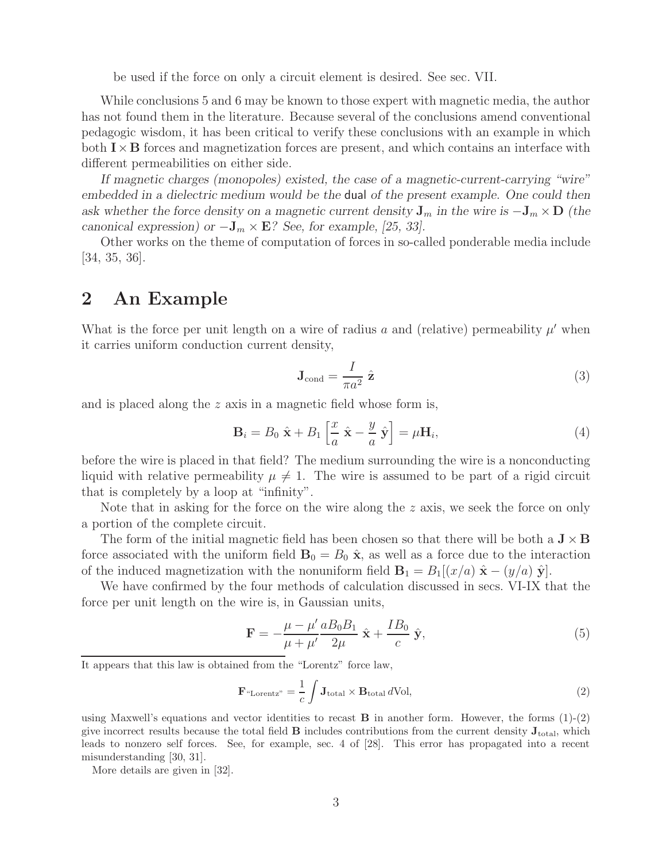be used if the force on only a circuit element is desired. See sec. VII.

While conclusions 5 and 6 may be known to those expert with magnetic media, the author has not found them in the literature. Because several of the conclusions amend conventional pedagogic wisdom, it has been critical to verify these conclusions with an example in which both  $\mathbf{I} \times \mathbf{B}$  forces and magnetization forces are present, and which contains an interface with different permeabilities on either side.

*If magnetic charges (monopoles) existed, the case of a magnetic-current-carrying "wire" embedded in a dielectric medium would be the* dual *of the present example. One could then ask whether the force density on a magnetic current density*  $J_m$  *in the wire is*  $-J_m \times D$  *(the canonical expression) or*  $-\mathbf{J}_m \times \mathbf{E}$ ? *See, for example, [25, 33].* 

Other works on the theme of computation of forces in so-called ponderable media include [34, 35, 36].

### **2 An Example**

What is the force per unit length on a wire of radius a and (relative) permeability  $\mu'$  when it carries uniform conduction current density,

$$
\mathbf{J}_{\text{cond}} = \frac{I}{\pi a^2} \hat{\mathbf{z}} \tag{3}
$$

and is placed along the z axis in a magnetic field whose form is,

$$
\mathbf{B}_{i} = B_{0} \hat{\mathbf{x}} + B_{1} \left[ \frac{x}{a} \hat{\mathbf{x}} - \frac{y}{a} \hat{\mathbf{y}} \right] = \mu \mathbf{H}_{i}, \qquad (4)
$$

before the wire is placed in that field? The medium surrounding the wire is a nonconducting liquid with relative permeability  $\mu \neq 1$ . The wire is assumed to be part of a rigid circuit that is completely by a loop at "infinity".

Note that in asking for the force on the wire along the  $z$  axis, we seek the force on only a portion of the complete circuit.

The form of the initial magnetic field has been chosen so that there will be both a  $J \times B$ force associated with the uniform field  $\mathbf{B}_0 = B_0 \hat{\mathbf{x}}$ , as well as a force due to the interaction of the induced magnetization with the nonuniform field  $\mathbf{B}_1 = B_1|(x/a) \hat{\mathbf{x}} - (y/a) \hat{\mathbf{y}}|$ .

We have confirmed by the four methods of calculation discussed in secs. VI-IX that the force per unit length on the wire is, in Gaussian units,

$$
\mathbf{F} = -\frac{\mu - \mu'}{\mu + \mu'} \frac{a B_0 B_1}{2\mu} \hat{\mathbf{x}} + \frac{I B_0}{c} \hat{\mathbf{y}},\tag{5}
$$

It appears that this law is obtained from the "Lorentz" force law,

$$
\mathbf{F}^{\mu} \text{Lorentz}^n = \frac{1}{c} \int \mathbf{J}_{\text{total}} \times \mathbf{B}_{\text{total}} \, d\text{Vol}, \tag{2}
$$

using Maxwell's equations and vector identities to recast **B** in another form. However, the forms (1)-(2) give incorrect results because the total field  $\bf{B}$  includes contributions from the current density  $\bf{J}_{total}$ , which leads to nonzero self forces. See, for example, sec. 4 of [28]. This error has propagated into a recent misunderstanding [30, 31].

More details are given in [32].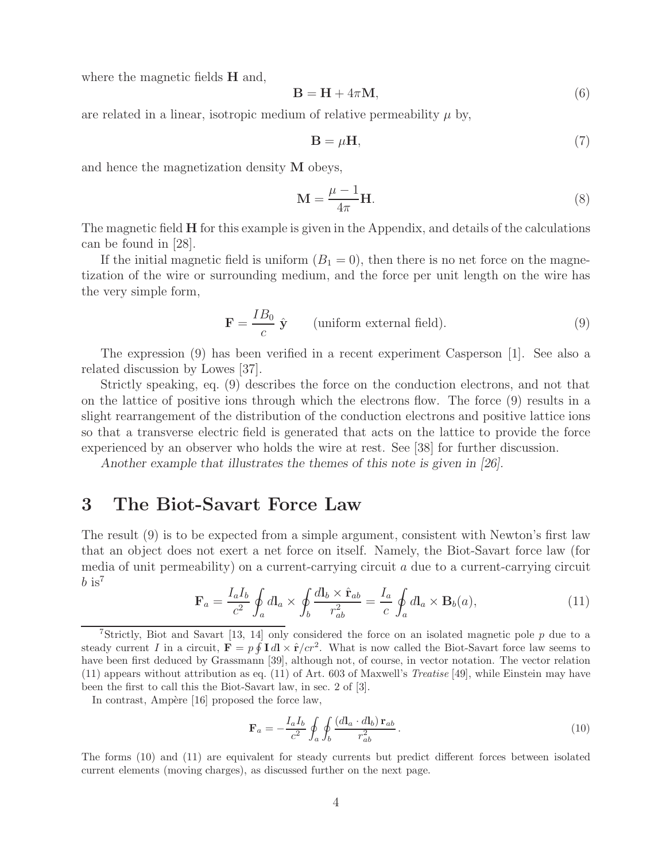where the magnetic fields **H** and,

$$
\mathbf{B} = \mathbf{H} + 4\pi \mathbf{M},\tag{6}
$$

are related in a linear, isotropic medium of relative permeability  $\mu$  by,

$$
\mathbf{B} = \mu \mathbf{H},\tag{7}
$$

and hence the magnetization density **M** obeys,

$$
\mathbf{M} = \frac{\mu - 1}{4\pi} \mathbf{H}.
$$
 (8)

The magnetic field **H** for this example is given in the Appendix, and details of the calculations can be found in [28].

If the initial magnetic field is uniform  $(B_1 = 0)$ , then there is no net force on the magnetization of the wire or surrounding medium, and the force per unit length on the wire has the very simple form,

$$
\mathbf{F} = \frac{IB_0}{c} \hat{\mathbf{y}} \qquad \text{(uniform external field)}.
$$
 (9)

The expression (9) has been verified in a recent experiment Casperson [1]. See also a related discussion by Lowes [37].

Strictly speaking, eq. (9) describes the force on the conduction electrons, and not that on the lattice of positive ions through which the electrons flow. The force (9) results in a slight rearrangement of the distribution of the conduction electrons and positive lattice ions so that a transverse electric field is generated that acts on the lattice to provide the force experienced by an observer who holds the wire at rest. See [38] for further discussion.

*Another example that illustrates the themes of this note is given in [26].*

### **3 The Biot-Savart Force Law**

The result (9) is to be expected from a simple argument, consistent with Newton's first law that an object does not exert a net force on itself. Namely, the Biot-Savart force law (for media of unit permeability) on a current-carrying circuit  $a$  due to a current-carrying circuit  $b$  is<sup>7</sup>

$$
\mathbf{F}_a = \frac{I_a I_b}{c^2} \oint_a d\mathbf{l}_a \times \oint_b \frac{d\mathbf{l}_b \times \hat{\mathbf{r}}_{ab}}{r_{ab}^2} = \frac{I_a}{c} \oint_a d\mathbf{l}_a \times \mathbf{B}_b(a), \tag{11}
$$

In contrast, Ampère [16] proposed the force law,

$$
\mathbf{F}_a = -\frac{I_a I_b}{c^2} \oint_a \oint_b \frac{(d\mathbf{l}_a \cdot d\mathbf{l}_b) \mathbf{r}_{ab}}{r_{ab}^2} \,. \tag{10}
$$

The forms (10) and (11) are equivalent for steady currents but predict different forces between isolated current elements (moving charges), as discussed further on the next page.

<sup>&</sup>lt;sup>7</sup>Strictly, Biot and Savart [13, 14] only considered the force on an isolated magnetic pole  $p$  due to a steady current I in a circuit,  $\mathbf{F} = p \oint \mathbf{I} d\mathbf{l} \times \hat{\mathbf{r}}/cr^2$ . What is now called the Biot-Savart force law seems to have been first deduced by Grassmann [39], although not, of course, in vector notation. The vector relation (11) appears without attribution as eq. (11) of Art. 603 of Maxwell's *Treatise* [49], while Einstein may have been the first to call this the Biot-Savart law, in sec. 2 of [3].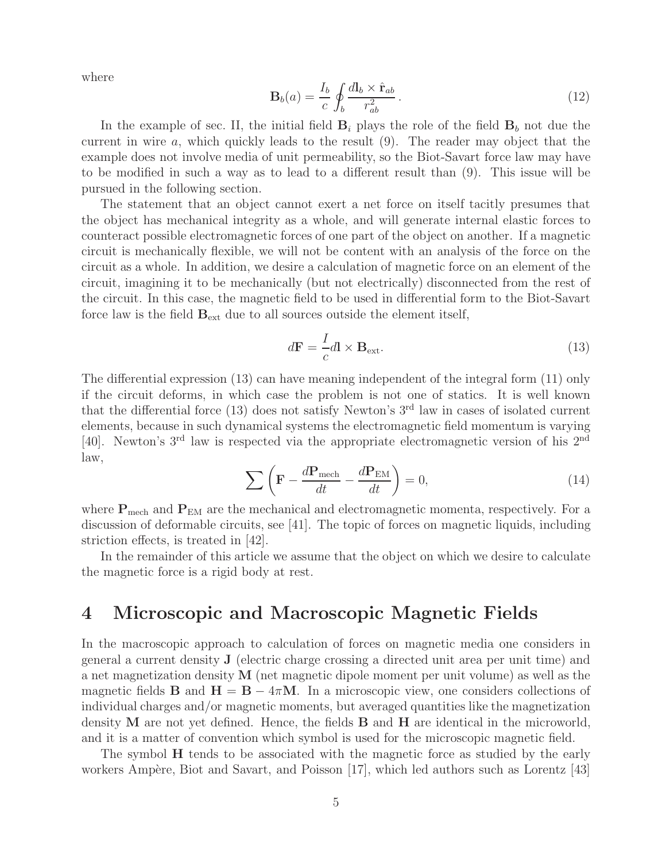where

$$
\mathbf{B}_b(a) = \frac{I_b}{c} \oint_b \frac{d\mathbf{l}_b \times \hat{\mathbf{r}}_{ab}}{r_{ab}^2} \,. \tag{12}
$$

In the example of sec. II, the initial field  $B_i$  plays the role of the field  $B_b$  not due the current in wire  $a$ , which quickly leads to the result  $(9)$ . The reader may object that the example does not involve media of unit permeability, so the Biot-Savart force law may have to be modified in such a way as to lead to a different result than (9). This issue will be pursued in the following section.

The statement that an object cannot exert a net force on itself tacitly presumes that the object has mechanical integrity as a whole, and will generate internal elastic forces to counteract possible electromagnetic forces of one part of the object on another. If a magnetic circuit is mechanically flexible, we will not be content with an analysis of the force on the circuit as a whole. In addition, we desire a calculation of magnetic force on an element of the circuit, imagining it to be mechanically (but not electrically) disconnected from the rest of the circuit. In this case, the magnetic field to be used in differential form to the Biot-Savart force law is the field  $\mathbf{B}_{ext}$  due to all sources outside the element itself,

$$
d\mathbf{F} = \frac{I}{c}d\mathbf{l} \times \mathbf{B}_{\text{ext}}.\tag{13}
$$

The differential expression (13) can have meaning independent of the integral form (11) only if the circuit deforms, in which case the problem is not one of statics. It is well known that the differential force  $(13)$  does not satisfy Newton's 3<sup>rd</sup> law in cases of isolated current elements, because in such dynamical systems the electromagnetic field momentum is varying [40]. Newton's 3rd law is respected via the appropriate electromagnetic version of his 2nd law,

$$
\sum \left( \mathbf{F} - \frac{d\mathbf{P}_{\text{mech}}}{dt} - \frac{d\mathbf{P}_{\text{EM}}}{dt} \right) = 0, \tag{14}
$$

where  $P_{\text{mech}}$  and  $P_{\text{EM}}$  are the mechanical and electromagnetic momenta, respectively. For a discussion of deformable circuits, see  $|41|$ . The topic of forces on magnetic liquids, including striction effects, is treated in [42].

In the remainder of this article we assume that the object on which we desire to calculate the magnetic force is a rigid body at rest.

### **4 Microscopic and Macroscopic Magnetic Fields**

In the macroscopic approach to calculation of forces on magnetic media one considers in general a current density **J** (electric charge crossing a directed unit area per unit time) and a net magnetization density **M** (net magnetic dipole moment per unit volume) as well as the magnetic fields **B** and  $H = B - 4\pi M$ . In a microscopic view, one considers collections of individual charges and/or magnetic moments, but averaged quantities like the magnetization density **M** are not yet defined. Hence, the fields **B** and **H** are identical in the microworld, and it is a matter of convention which symbol is used for the microscopic magnetic field.

The symbol **H** tends to be associated with the magnetic force as studied by the early workers Ampère, Biot and Savart, and Poisson [17], which led authors such as Lorentz [43]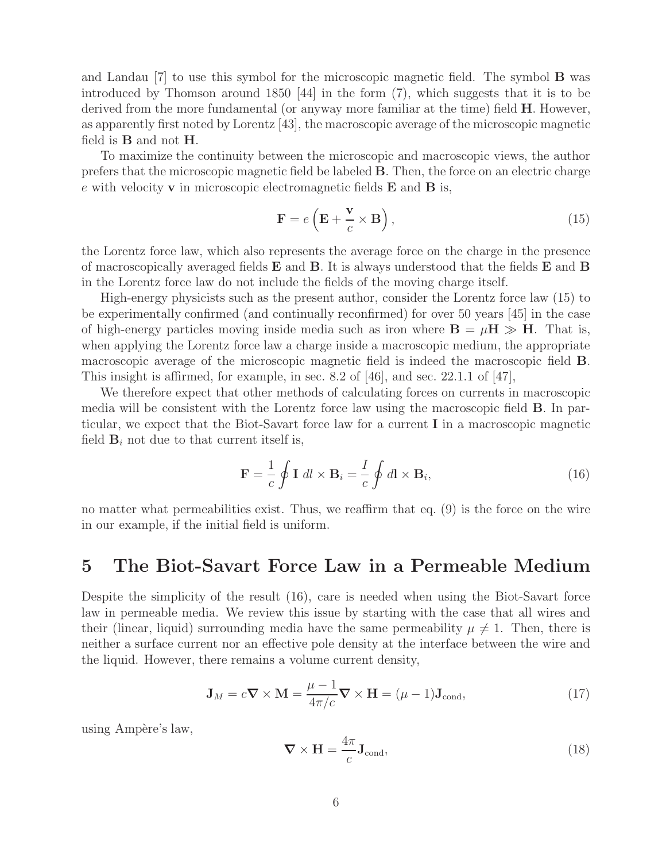and Landau [7] to use this symbol for the microscopic magnetic field. The symbol **B** was introduced by Thomson around 1850 [44] in the form (7), which suggests that it is to be derived from the more fundamental (or anyway more familiar at the time) field **H**. However, as apparently first noted by Lorentz [43], the macroscopic average of the microscopic magnetic field is **B** and not **H**.

To maximize the continuity between the microscopic and macroscopic views, the author prefers that the microscopic magnetic field be labeled **B**. Then, the force on an electric charge e with velocity **v** in microscopic electromagnetic fields **E** and **B** is,

$$
\mathbf{F} = e\left(\mathbf{E} + \frac{\mathbf{v}}{c} \times \mathbf{B}\right),\tag{15}
$$

the Lorentz force law, which also represents the average force on the charge in the presence of macroscopically averaged fields **E** and **B**. It is always understood that the fields **E** and **B** in the Lorentz force law do not include the fields of the moving charge itself.

High-energy physicists such as the present author, consider the Lorentz force law (15) to be experimentally confirmed (and continually reconfirmed) for over 50 years [45] in the case of high-energy particles moving inside media such as iron where  $\mathbf{B} = \mu \mathbf{H} \gg \mathbf{H}$ . That is, when applying the Lorentz force law a charge inside a macroscopic medium, the appropriate macroscopic average of the microscopic magnetic field is indeed the macroscopic field **B**. This insight is affirmed, for example, in sec. 8.2 of [46], and sec. 22.1.1 of [47],

We therefore expect that other methods of calculating forces on currents in macroscopic media will be consistent with the Lorentz force law using the macroscopic field **B**. In particular, we expect that the Biot-Savart force law for a current **I** in a macroscopic magnetic field  $\mathbf{B}_i$  not due to that current itself is,

$$
\mathbf{F} = \frac{1}{c} \oint \mathbf{I} \, dl \times \mathbf{B}_i = \frac{I}{c} \oint dl \times \mathbf{B}_i,
$$
 (16)

no matter what permeabilities exist. Thus, we reaffirm that eq. (9) is the force on the wire in our example, if the initial field is uniform.

#### **5 The Biot-Savart Force Law in a Permeable Medium**

Despite the simplicity of the result (16), care is needed when using the Biot-Savart force law in permeable media. We review this issue by starting with the case that all wires and their (linear, liquid) surrounding media have the same permeability  $\mu \neq 1$ . Then, there is neither a surface current nor an effective pole density at the interface between the wire and the liquid. However, there remains a volume current density,

$$
\mathbf{J}_M = c\mathbf{\nabla} \times \mathbf{M} = \frac{\mu - 1}{4\pi/c} \mathbf{\nabla} \times \mathbf{H} = (\mu - 1)\mathbf{J}_{\text{cond}},\tag{17}
$$

using Ampère's law,

$$
\nabla \times \mathbf{H} = \frac{4\pi}{c} \mathbf{J}_{\text{cond}},\tag{18}
$$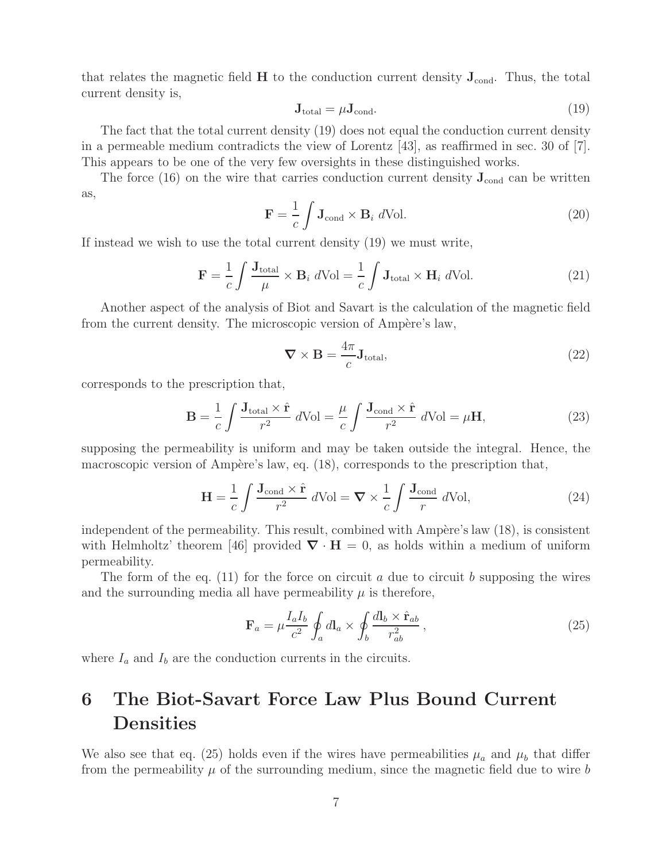that relates the magnetic field  $H$  to the conduction current density  $J_{cond}$ . Thus, the total current density is,

$$
\mathbf{J}_{\text{total}} = \mu \mathbf{J}_{\text{cond}}.\tag{19}
$$

The fact that the total current density (19) does not equal the conduction current density in a permeable medium contradicts the view of Lorentz [43], as reaffirmed in sec. 30 of [7]. This appears to be one of the very few oversights in these distinguished works.

The force  $(16)$  on the wire that carries conduction current density  $J_{\text{cond}}$  can be written as,

$$
\mathbf{F} = \frac{1}{c} \int \mathbf{J}_{\text{cond}} \times \mathbf{B}_i \ d\text{Vol}.
$$
 (20)

If instead we wish to use the total current density (19) we must write,

$$
\mathbf{F} = \frac{1}{c} \int \frac{\mathbf{J}_{\text{total}}}{\mu} \times \mathbf{B}_i \ d\text{Vol} = \frac{1}{c} \int \mathbf{J}_{\text{total}} \times \mathbf{H}_i \ d\text{Vol}.
$$
 (21)

Another aspect of the analysis of Biot and Savart is the calculation of the magnetic field from the current density. The microscopic version of Ampère's law,

$$
\nabla \times \mathbf{B} = \frac{4\pi}{c} \mathbf{J}_{\text{total}},\tag{22}
$$

corresponds to the prescription that,

$$
\mathbf{B} = \frac{1}{c} \int \frac{\mathbf{J}_{\text{total}} \times \hat{\mathbf{r}}}{r^2} d\text{Vol} = \frac{\mu}{c} \int \frac{\mathbf{J}_{\text{cond}} \times \hat{\mathbf{r}}}{r^2} d\text{Vol} = \mu \mathbf{H},\tag{23}
$$

supposing the permeability is uniform and may be taken outside the integral. Hence, the macroscopic version of Ampère's law, eq.  $(18)$ , corresponds to the prescription that,

$$
\mathbf{H} = \frac{1}{c} \int \frac{\mathbf{J}_{\text{cond}} \times \hat{\mathbf{r}}}{r^2} d\text{Vol} = \mathbf{\nabla} \times \frac{1}{c} \int \frac{\mathbf{J}_{\text{cond}}}{r} d\text{Vol},\tag{24}
$$

independent of the permeability. This result, combined with  $Amp\grave{e}re's$  law  $(18)$ , is consistent with Helmholtz' theorem [46] provided  $\nabla \cdot \mathbf{H} = 0$ , as holds within a medium of uniform permeability.

The form of the eq.  $(11)$  for the force on circuit a due to circuit b supposing the wires and the surrounding media all have permeability  $\mu$  is therefore,

$$
\mathbf{F}_a = \mu \frac{I_a I_b}{c^2} \oint_a d\mathbf{l}_a \times \oint_b \frac{d\mathbf{l}_b \times \hat{\mathbf{r}}_{ab}}{r_{ab}^2},\tag{25}
$$

where  $I_a$  and  $I_b$  are the conduction currents in the circuits.

## **6 The Biot-Savart Force Law Plus Bound Current Densities**

We also see that eq. (25) holds even if the wires have permeabilities  $\mu_a$  and  $\mu_b$  that differ from the permeability  $\mu$  of the surrounding medium, since the magnetic field due to wire b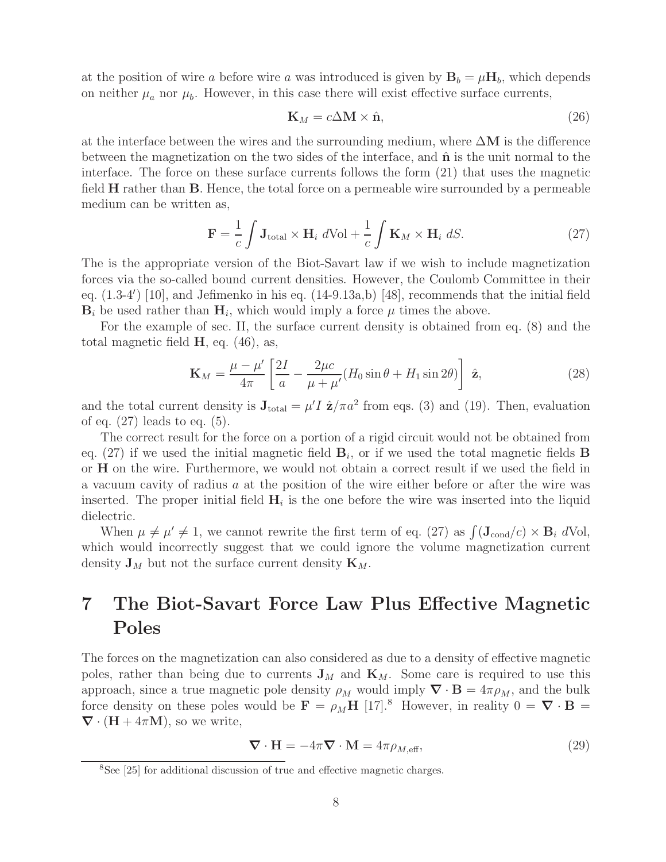at the position of wire a before wire a was introduced is given by  $\mathbf{B}_b = \mu \mathbf{H}_b$ , which depends on neither  $\mu_a$  nor  $\mu_b$ . However, in this case there will exist effective surface currents,

$$
\mathbf{K}_M = c\Delta \mathbf{M} \times \hat{\mathbf{n}},\tag{26}
$$

at the interface between the wires and the surrounding medium, where  $\Delta M$  is the difference between the magnetization on the two sides of the interface, and **n**ˆ is the unit normal to the interface. The force on these surface currents follows the form (21) that uses the magnetic field **H** rather than **B**. Hence, the total force on a permeable wire surrounded by a permeable medium can be written as,

$$
\mathbf{F} = \frac{1}{c} \int \mathbf{J}_{\text{total}} \times \mathbf{H}_i \ d\text{Vol} + \frac{1}{c} \int \mathbf{K}_M \times \mathbf{H}_i \ dS. \tag{27}
$$

The is the appropriate version of the Biot-Savart law if we wish to include magnetization forces via the so-called bound current densities. However, the Coulomb Committee in their eq.  $(1.3-4')$  [10], and Jefimenko in his eq.  $(14-9.13a,b)$  [48], recommends that the initial field  $\mathbf{B}_i$  be used rather than  $\mathbf{H}_i$ , which would imply a force  $\mu$  times the above.

For the example of sec. II, the surface current density is obtained from eq. (8) and the total magnetic field **H**, eq. (46), as,

$$
\mathbf{K}_M = \frac{\mu - \mu'}{4\pi} \left[ \frac{2I}{a} - \frac{2\mu c}{\mu + \mu'} (H_0 \sin \theta + H_1 \sin 2\theta) \right] \hat{\mathbf{z}},\tag{28}
$$

and the total current density is  $J_{total} = \mu' I \hat{z}/\pi a^2$  from eqs. (3) and (19). Then, evaluation of eq. (27) leads to eq. (5).

The correct result for the force on a portion of a rigid circuit would not be obtained from eq. (27) if we used the initial magnetic field  $\mathbf{B}_i$ , or if we used the total magnetic fields **B** or **H** on the wire. Furthermore, we would not obtain a correct result if we used the field in a vacuum cavity of radius a at the position of the wire either before or after the wire was inserted. The proper initial field  $H_i$  is the one before the wire was inserted into the liquid dielectric.

When  $\mu \neq \mu' \neq 1$ , we cannot rewrite the first term of eq. (27) as  $\int (\mathbf{J}_{cond}/c) \times \mathbf{B}_i dVol$ , which would incorrectly suggest that we could ignore the volume magnetization current density  $\mathbf{J}_M$  but not the surface current density  $\mathbf{K}_M$ .

# **7 The Biot-Savart Force Law Plus Effective Magnetic Poles**

The forces on the magnetization can also considered as due to a density of effective magnetic poles, rather than being due to currents  $J_M$  and  $K_M$ . Some care is required to use this approach, since a true magnetic pole density  $\rho_M$  would imply  $\nabla \cdot \mathbf{B} = 4\pi \rho_M$ , and the bulk force density on these poles would be  $\mathbf{F} = \rho_M \mathbf{H}$  [17].<sup>8</sup> However, in reality  $0 = \nabla \cdot \mathbf{B} =$  $\nabla \cdot (\mathbf{H} + 4\pi \mathbf{M})$ , so we write,

$$
\nabla \cdot \mathbf{H} = -4\pi \nabla \cdot \mathbf{M} = 4\pi \rho_{M,\text{eff}},\tag{29}
$$

<sup>&</sup>lt;sup>8</sup>See [25] for additional discussion of true and effective magnetic charges.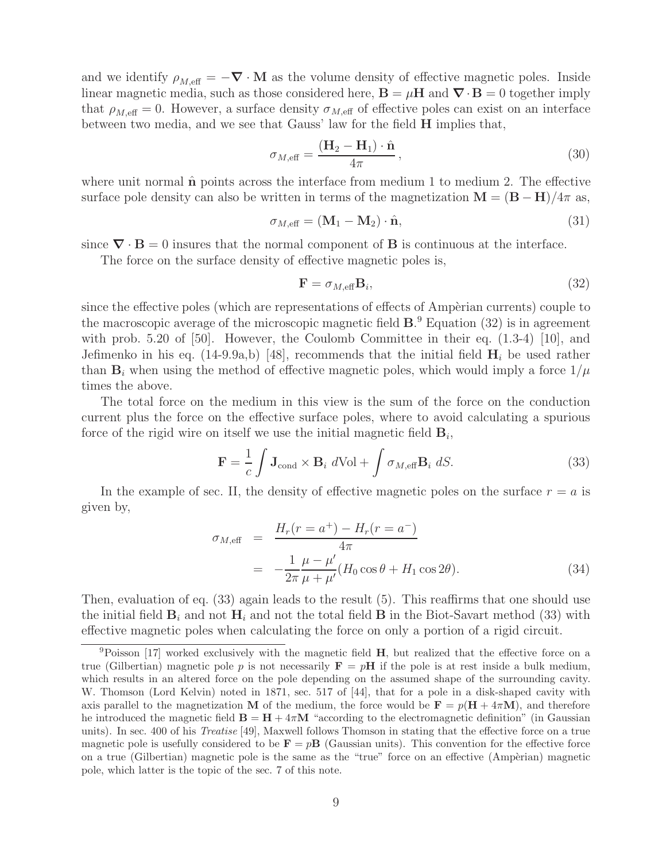and we identify  $\rho_{M,\text{eff}} = -\nabla \cdot \mathbf{M}$  as the volume density of effective magnetic poles. Inside linear magnetic media, such as those considered here,  $\mathbf{B} = \mu \mathbf{H}$  and  $\nabla \cdot \mathbf{B} = 0$  together imply that  $\rho_{M,\text{eff}} = 0$ . However, a surface density  $\sigma_{M,\text{eff}}$  of effective poles can exist on an interface between two media, and we see that Gauss' law for the field **H** implies that,

$$
\sigma_{M,\text{eff}} = \frac{(\mathbf{H}_2 - \mathbf{H}_1) \cdot \hat{\mathbf{n}}}{4\pi},\tag{30}
$$

where unit normal  $\hat{\bf{n}}$  points across the interface from medium 1 to medium 2. The effective surface pole density can also be written in terms of the magnetization  $\mathbf{M} = (\mathbf{B} - \mathbf{H})/4\pi$  as,

$$
\sigma_{M,\text{eff}} = (\mathbf{M}_1 - \mathbf{M}_2) \cdot \hat{\mathbf{n}},\tag{31}
$$

since  $\nabla \cdot \mathbf{B} = 0$  insures that the normal component of **B** is continuous at the interface.

The force on the surface density of effective magnetic poles is,

$$
\mathbf{F} = \sigma_{M, \text{eff}} \mathbf{B}_i,\tag{32}
$$

since the effective poles (which are representations of effects of Ampèrian currents) couple to the macroscopic average of the microscopic magnetic field **B**. <sup>9</sup> Equation (32) is in agreement with prob. 5.20 of [50]. However, the Coulomb Committee in their eq.  $(1.3-4)$  [10], and Jefimenko in his eq.  $(14-9.9a,b)$  [48], recommends that the initial field  $\mathbf{H}_i$  be used rather than  $\mathbf{B}_i$  when using the method of effective magnetic poles, which would imply a force  $1/\mu$ times the above.

The total force on the medium in this view is the sum of the force on the conduction current plus the force on the effective surface poles, where to avoid calculating a spurious force of the rigid wire on itself we use the initial magnetic field  $\mathbf{B}_i$ ,

$$
\mathbf{F} = \frac{1}{c} \int \mathbf{J}_{\text{cond}} \times \mathbf{B}_i \ d\text{Vol} + \int \sigma_{M,\text{eff}} \mathbf{B}_i \ dS. \tag{33}
$$

In the example of sec. II, the density of effective magnetic poles on the surface  $r = a$  is given by,

$$
\sigma_{M,\text{eff}} = \frac{H_r(r = a^+) - H_r(r = a^-)}{4\pi} \n= -\frac{1}{2\pi} \frac{\mu - \mu'}{\mu + \mu'} (H_0 \cos \theta + H_1 \cos 2\theta).
$$
\n(34)

Then, evaluation of eq. (33) again leads to the result (5). This reaffirms that one should use the initial field  $\mathbf{B}_i$  and not  $\mathbf{H}_i$  and not the total field  $\mathbf{B}$  in the Biot-Savart method (33) with effective magnetic poles when calculating the force on only a portion of a rigid circuit.

<sup>9</sup>Poisson [17] worked exclusively with the magnetic field **H**, but realized that the effective force on a true (Gilbertian) magnetic pole p is not necessarily  $\mathbf{F} = p\mathbf{H}$  if the pole is at rest inside a bulk medium, which results in an altered force on the pole depending on the assumed shape of the surrounding cavity. W. Thomson (Lord Kelvin) noted in 1871, sec. 517 of [44], that for a pole in a disk-shaped cavity with axis parallel to the magnetization **M** of the medium, the force would be  $\mathbf{F} = p(\mathbf{H} + 4\pi\mathbf{M})$ , and therefore he introduced the magnetic field  $\mathbf{B} = \mathbf{H} + 4\pi\mathbf{M}$  "according to the electromagnetic definition" (in Gaussian units). In sec. 400 of his *Treatise* [49], Maxwell follows Thomson in stating that the effective force on a true magnetic pole is usefully considered to be  $\mathbf{F} = p\mathbf{B}$  (Gaussian units). This convention for the effective force on a true (Gilbertian) magnetic pole is the same as the "true" force on an effective (Ampèrian) magnetic pole, which latter is the topic of the sec. 7 of this note.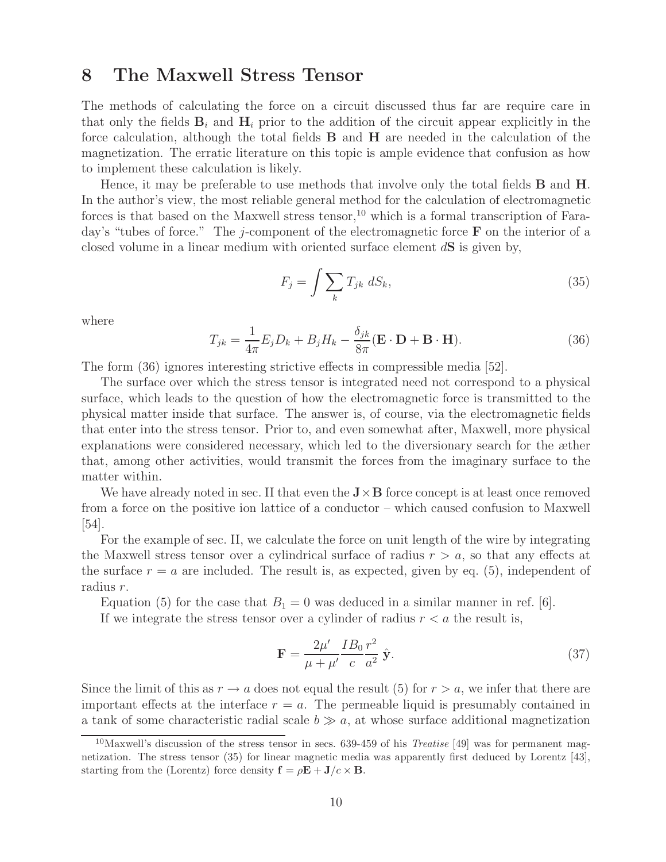### **8 The Maxwell Stress Tensor**

The methods of calculating the force on a circuit discussed thus far are require care in that only the fields  $\mathbf{B}_i$  and  $\mathbf{H}_i$  prior to the addition of the circuit appear explicitly in the force calculation, although the total fields **B** and **H** are needed in the calculation of the magnetization. The erratic literature on this topic is ample evidence that confusion as how to implement these calculation is likely.

Hence, it may be preferable to use methods that involve only the total fields **B** and **H**. In the author's view, the most reliable general method for the calculation of electromagnetic forces is that based on the Maxwell stress tensor,<sup>10</sup> which is a formal transcription of Faraday's "tubes of force." The j-component of the electromagnetic force **F** on the interior of a closed volume in a linear medium with oriented surface element d**S** is given by,

$$
F_j = \int \sum_k T_{jk} \ dS_k,\tag{35}
$$

where

$$
T_{jk} = \frac{1}{4\pi} E_j D_k + B_j H_k - \frac{\delta_{jk}}{8\pi} (\mathbf{E} \cdot \mathbf{D} + \mathbf{B} \cdot \mathbf{H}).
$$
 (36)

The form (36) ignores interesting strictive effects in compressible media [52].

The surface over which the stress tensor is integrated need not correspond to a physical surface, which leads to the question of how the electromagnetic force is transmitted to the physical matter inside that surface. The answer is, of course, via the electromagnetic fields that enter into the stress tensor. Prior to, and even somewhat after, Maxwell, more physical explanations were considered necessary, which led to the diversionary search for the æther that, among other activities, would transmit the forces from the imaginary surface to the matter within.

We have already noted in sec. II that even the  $J \times B$  force concept is at least once removed from a force on the positive ion lattice of a conductor – which caused confusion to Maxwell [54].

For the example of sec. II, we calculate the force on unit length of the wire by integrating the Maxwell stress tensor over a cylindrical surface of radius  $r > a$ , so that any effects at the surface  $r = a$  are included. The result is, as expected, given by eq. (5), independent of radius r.

Equation (5) for the case that  $B_1 = 0$  was deduced in a similar manner in ref. [6].

If we integrate the stress tensor over a cylinder of radius  $r < a$  the result is,

$$
\mathbf{F} = \frac{2\mu'}{\mu + \mu'} \frac{IB_0}{c} \frac{r^2}{a^2} \hat{\mathbf{y}}.\tag{37}
$$

Since the limit of this as  $r \to a$  does not equal the result (5) for  $r > a$ , we infer that there are important effects at the interface  $r = a$ . The permeable liquid is presumably contained in a tank of some characteristic radial scale  $b \gg a$ , at whose surface additional magnetization

<sup>10</sup>Maxwell's discussion of the stress tensor in secs. 639-459 of his *Treatise* [49] was for permanent magnetization. The stress tensor (35) for linear magnetic media was apparently first deduced by Lorentz [43], starting from the (Lorentz) force density  $\mathbf{f} = \rho \mathbf{E} + \mathbf{J}/c \times \mathbf{B}$ .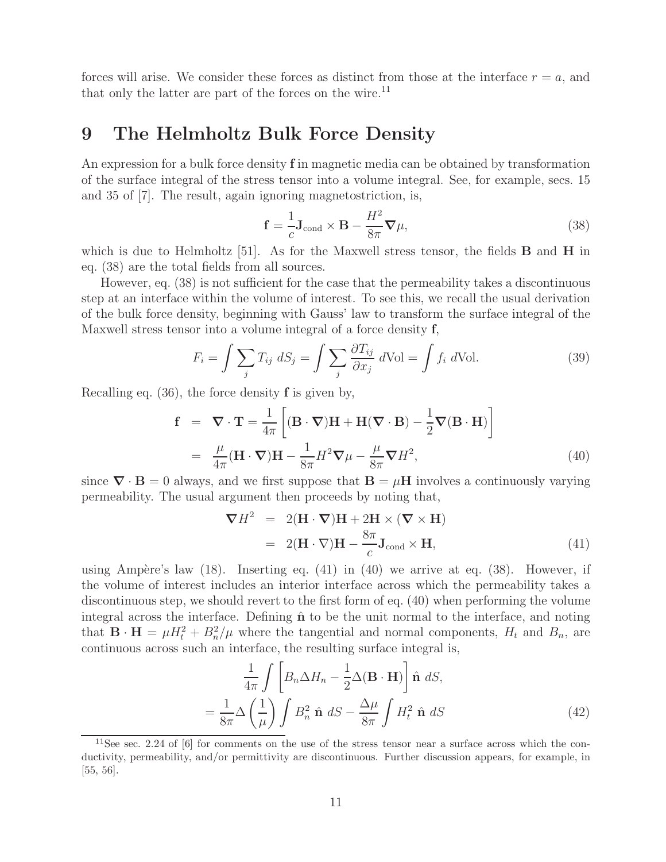forces will arise. We consider these forces as distinct from those at the interface  $r = a$ , and that only the latter are part of the forces on the wire.<sup>11</sup>

### **9 The Helmholtz Bulk Force Density**

An expression for a bulk force density **f** in magnetic media can be obtained by transformation of the surface integral of the stress tensor into a volume integral. See, for example, secs. 15 and 35 of [7]. The result, again ignoring magnetostriction, is,

$$
\mathbf{f} = \frac{1}{c} \mathbf{J}_{\text{cond}} \times \mathbf{B} - \frac{H^2}{8\pi} \nabla \mu,
$$
\n(38)

which is due to Helmholtz [51]. As for the Maxwell stress tensor, the fields **B** and **H** in eq. (38) are the total fields from all sources.

However, eq. (38) is not sufficient for the case that the permeability takes a discontinuous step at an interface within the volume of interest. To see this, we recall the usual derivation of the bulk force density, beginning with Gauss' law to transform the surface integral of the Maxwell stress tensor into a volume integral of a force density **f**,

$$
F_i = \int \sum_j T_{ij} dS_j = \int \sum_j \frac{\partial T_{ij}}{\partial x_j} dVol = \int f_i dVol. \tag{39}
$$

Recalling eq. (36), the force density **f** is given by,

$$
\mathbf{f} = \nabla \cdot \mathbf{T} = \frac{1}{4\pi} \left[ (\mathbf{B} \cdot \nabla) \mathbf{H} + \mathbf{H} (\nabla \cdot \mathbf{B}) - \frac{1}{2} \nabla (\mathbf{B} \cdot \mathbf{H}) \right]
$$
  
\n
$$
= \frac{\mu}{4\pi} (\mathbf{H} \cdot \nabla) \mathbf{H} - \frac{1}{8\pi} H^2 \nabla \mu - \frac{\mu}{8\pi} \nabla H^2,
$$
 (40)

since  $\nabla \cdot \mathbf{B} = 0$  always, and we first suppose that  $\mathbf{B} = \mu \mathbf{H}$  involves a continuously varying permeability. The usual argument then proceeds by noting that,

$$
\nabla H^2 = 2(\mathbf{H} \cdot \nabla)\mathbf{H} + 2\mathbf{H} \times (\nabla \times \mathbf{H})
$$
  
= 2(\mathbf{H} \cdot \nabla)\mathbf{H} - \frac{8\pi}{c}\mathbf{J}\_{\text{cond}} \times \mathbf{H}, \t(41)

using Ampère's law  $(18)$ . Inserting eq.  $(41)$  in  $(40)$  we arrive at eq.  $(38)$ . However, if the volume of interest includes an interior interface across which the permeability takes a discontinuous step, we should revert to the first form of eq. (40) when performing the volume integral across the interface. Defining  $\hat{\bf{n}}$  to be the unit normal to the interface, and noting that  $\mathbf{B} \cdot \mathbf{H} = \mu H_t^2 + B_n^2/\mu$  where the tangential and normal components,  $H_t$  and  $B_n$ , are continuous across such an interface, the resulting surface integral is,

$$
\frac{1}{4\pi} \int \left[ B_n \Delta H_n - \frac{1}{2} \Delta (\mathbf{B} \cdot \mathbf{H}) \right] \hat{\mathbf{n}} \ dS,
$$
\n
$$
= \frac{1}{8\pi} \Delta \left( \frac{1}{\mu} \right) \int B_n^2 \hat{\mathbf{n}} \ dS - \frac{\Delta \mu}{8\pi} \int H_t^2 \hat{\mathbf{n}} \ dS \tag{42}
$$

<sup>&</sup>lt;sup>11</sup>See sec. 2.24 of [6] for comments on the use of the stress tensor near a surface across which the conductivity, permeability, and/or permittivity are discontinuous. Further discussion appears, for example, in [55, 56].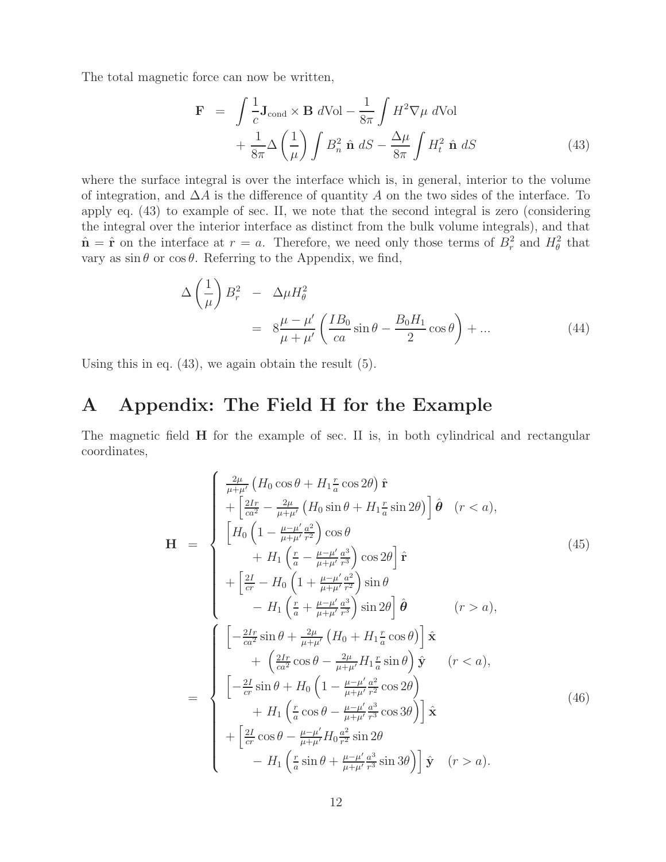The total magnetic force can now be written,

$$
\mathbf{F} = \int \frac{1}{c} \mathbf{J}_{\text{cond}} \times \mathbf{B} \ d\text{Vol} - \frac{1}{8\pi} \int H^2 \nabla \mu \ d\text{Vol} + \frac{1}{8\pi} \Delta \left(\frac{1}{\mu}\right) \int B_n^2 \hat{\mathbf{n}} \ dS - \frac{\Delta \mu}{8\pi} \int H_t^2 \hat{\mathbf{n}} \ dS
$$
 (43)

where the surface integral is over the interface which is, in general, interior to the volume of integration, and  $\Delta A$  is the difference of quantity A on the two sides of the interface. To apply eq. (43) to example of sec. II, we note that the second integral is zero (considering the integral over the interior interface as distinct from the bulk volume integrals), and that  $\hat{\mathbf{n}} = \hat{\mathbf{r}}$  on the interface at  $r = a$ . Therefore, we need only those terms of  $B_r^2$  and  $H_\theta^2$  that vary as  $\sin \theta$  or  $\cos \theta$ . Referring to the Appendix, we find,

$$
\Delta \left(\frac{1}{\mu}\right) B_r^2 - \Delta \mu H_\theta^2
$$
  
= 
$$
8 \frac{\mu - \mu'}{\mu + \mu'} \left( \frac{IB_0}{ca} \sin \theta - \frac{B_0 H_1}{2} \cos \theta \right) + ...
$$
 (44)

Using this in eq. (43), we again obtain the result (5).

### **A Appendix: The Field H for the Example**

The magnetic field **H** for the example of sec. II is, in both cylindrical and rectangular coordinates,

$$
\mathbf{H} = \begin{cases}\n\frac{2\mu}{\mu + \mu'} \left( H_0 \cos \theta + H_1 \frac{r}{a} \cos 2\theta \right) \hat{\mathbf{r}} \\
+\left[ \frac{2Ir}{ca^2} - \frac{2\mu}{\mu + \mu'} \left( H_0 \sin \theta + H_1 \frac{r}{a} \sin 2\theta \right) \right] \hat{\boldsymbol{\theta}} & (r < a), \\
\left[ H_0 \left( 1 - \frac{\mu - \mu'}{\mu + \mu'} \frac{a^2}{r^2} \right) \cos \theta \\
+ H_1 \left( \frac{r}{a} - \frac{\mu - \mu'}{\mu + \mu'} \frac{a^3}{r^3} \right) \cos 2\theta \right] \hat{\mathbf{r}} \\
+\left[ \frac{2I}{cr} - H_0 \left( 1 + \frac{\mu - \mu'}{\mu + \mu'} \frac{a^3}{r^2} \right) \sin \theta \\
- H_1 \left( \frac{r}{a} + \frac{\mu - \mu'}{\mu + \mu'} \frac{a^3}{r^3} \right) \sin 2\theta \right] \hat{\boldsymbol{\theta}} & (r > a), \\
\left[ -\frac{2Ir}{ca^2} \sin \theta + \frac{2\mu}{\mu + \mu'} \left( H_0 + H_1 \frac{r}{a} \cos \theta \right) \right] \hat{\mathbf{x}} \\
+ \left( \frac{2Ir}{ca^2} \cos \theta - \frac{2\mu}{\mu + \mu'} H_1 \frac{r}{a} \sin \theta \right) \hat{\mathbf{y}} & (r < a), \\
\left[ -\frac{2I}{cr} \sin \theta + H_0 \left( 1 - \frac{\mu - \mu'}{\mu + \mu'} \frac{a^3}{r^2} \cos 2\theta \right) \\
+ H_1 \left( \frac{r}{a} \cos \theta - \frac{\mu - \mu'}{\mu + \mu'} \frac{a^3}{r^3} \cos 3\theta \right) \right] \hat{\mathbf{x}} \\
+ \left[ \frac{2I}{cr} \cos \theta - \frac{\mu - \mu'}{\mu + \mu'} H_0 \frac{a^2}{r^2} \sin 2\theta \\
- H_1 \left( \frac{r}{a} \sin \theta + \frac{\mu - \mu'}{\mu + \mu'} \frac{a^3}{r^3} \sin 3\theta \right) \right] \hat{\mathbf{y}} & (r > a).\n\end{cases}
$$
\n(46)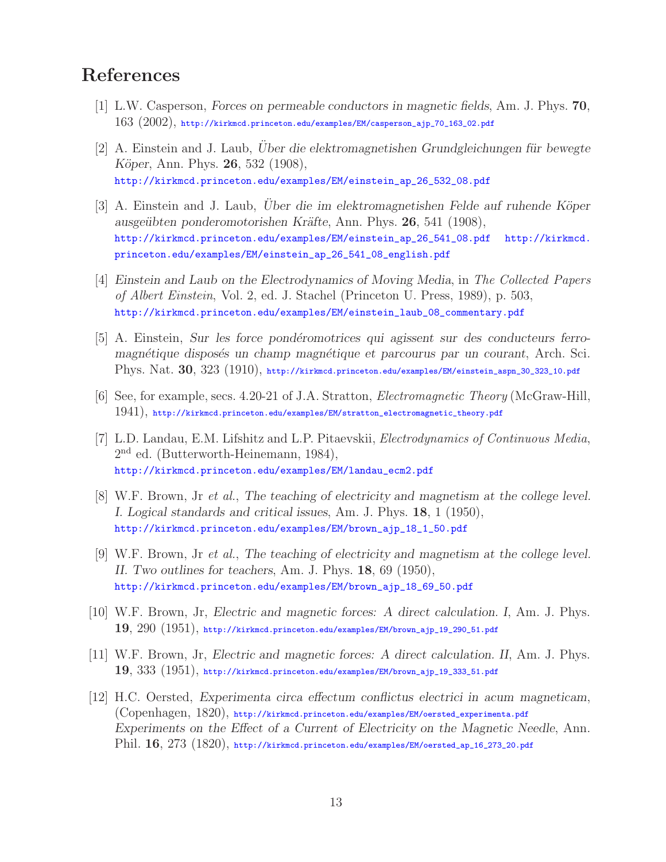### **References**

- [1] L.W. Casperson, *Forces on permeable conductors in magnetic fields*, Am. J. Phys. **70**,  $163$   $(2002)$ , http://kirkmcd.princeton.edu/examples/EM/casperson\_ajp\_70\_163\_02.pdf
- [2] A. Einstein and J. Laub, *Uber die elektromagnetishen Grundgleichungen für bewegte K¨oper*, Ann. Phys. **26**, 532 (1908), http://kirkmcd.princeton.edu/examples/EM/einstein\_ap\_26\_532\_08.pdf
- [3] A. Einstein and J. Laub, *Uber die im elektromagnetishen Felde auf ruhende Köper ausge¨ubten ponderomotorishen Kr¨afte*, Ann. Phys. **26**, 541 (1908), http://kirkmcd.princeton.edu/examples/EM/einstein\_ap\_26\_541\_08.pdf http://kirkmcd. princeton.edu/examples/EM/einstein\_ap\_26\_541\_08\_english.pdf
- [4] *Einstein and Laub on the Electrodynamics of Moving Media*, in *The Collected Papers of Albert Einstein*, Vol. 2, ed. J. Stachel (Princeton U. Press, 1989), p. 503, http://kirkmcd.princeton.edu/examples/EM/einstein\_laub\_08\_commentary.pdf
- [5] A. Einstein, *Sur les force pond´eromotrices qui agissent sur des conducteurs ferromagn´etique dispos´es un champ magn´etique et parcourus par un courant*, Arch. Sci. Phys. Nat. **30**, 323 (1910), http://kirkmcd.princeton.edu/examples/EM/einstein\_aspn\_30\_323\_10.pdf
- [6] See, for example, secs. 4.20-21 of J.A. Stratton, *Electromagnetic Theory* (McGraw-Hill, 1941), http://kirkmcd.princeton.edu/examples/EM/stratton\_electromagnetic\_theory.pdf
- [7] L.D. Landau, E.M. Lifshitz and L.P. Pitaevskii, *Electrodynamics of Continuous Media*, 2nd ed. (Butterworth-Heinemann, 1984), http://kirkmcd.princeton.edu/examples/EM/landau\_ecm2.pdf
- [8] W.F. Brown, Jr *et al.*, *The teaching of electricity and magnetism at the college level. I. Logical standards and critical issues*, Am. J. Phys. **18**, 1 (1950), http://kirkmcd.princeton.edu/examples/EM/brown\_ajp\_18\_1\_50.pdf
- [9] W.F. Brown, Jr *et al.*, *The teaching of electricity and magnetism at the college level. II. Two outlines for teachers*, Am. J. Phys. **18**, 69 (1950), http://kirkmcd.princeton.edu/examples/EM/brown\_ajp\_18\_69\_50.pdf
- [10] W.F. Brown, Jr, *Electric and magnetic forces: A direct calculation. I*, Am. J. Phys. **19**, 290 (1951), http://kirkmcd.princeton.edu/examples/EM/brown\_ajp\_19\_290\_51.pdf
- [11] W.F. Brown, Jr, *Electric and magnetic forces: A direct calculation. II*, Am. J. Phys. **19**, 333 (1951), http://kirkmcd.princeton.edu/examples/EM/brown\_ajp\_19\_333\_51.pdf
- [12] H.C. Oersted, *Experimenta circa effectum conflictus electrici in acum magneticam*, (Copenhagen, 1820), http://kirkmcd.princeton.edu/examples/EM/oersted\_experimenta.pdf *Experiments on the Effect of a Current of Electricity on the Magnetic Needle*, Ann. Phil. **16**, 273 (1820), http://kirkmcd.princeton.edu/examples/EM/oersted\_ap\_16\_273\_20.pdf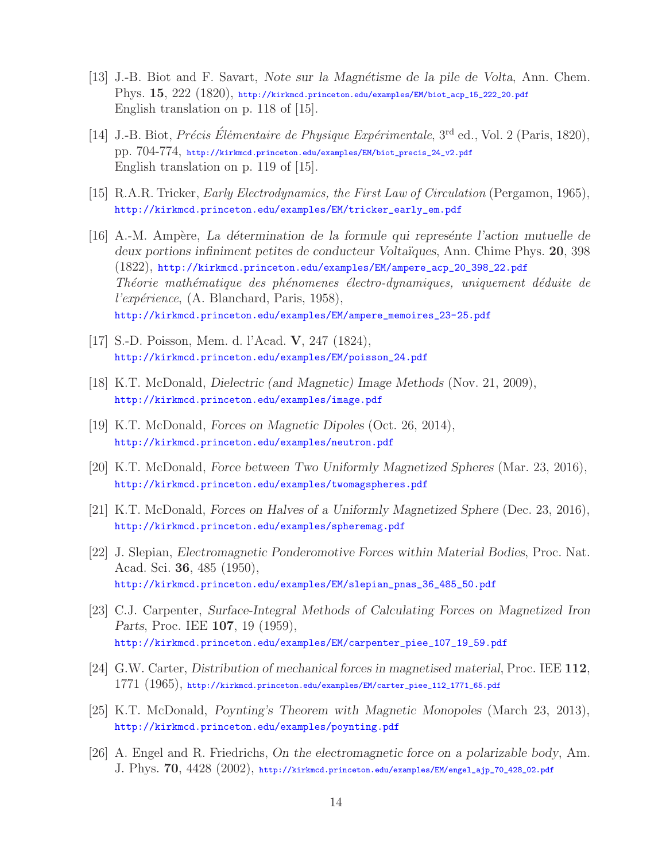- [13] J.-B. Biot and F. Savart, *Note sur la Magn´etisme de la pile de Volta*, Ann. Chem. Phys. **15**, 222 (1820), http://kirkmcd.princeton.edu/examples/EM/biot\_acp\_15\_222\_20.pdf English translation on p. 118 of [15].
- [14] J.-B. Biot, *Pr´ecis El˙ ´ ementaire de Physique Exp´erimentale*, 3rd ed., Vol. 2 (Paris, 1820), pp. 704-774, http://kirkmcd.princeton.edu/examples/EM/biot\_precis\_24\_v2.pdf English translation on p. 119 of [15].
- [15] R.A.R. Tricker, *Early Electrodynamics, the First Law of Circulation* (Pergamon, 1965), http://kirkmcd.princeton.edu/examples/EM/tricker\_early\_em.pdf
- [16] A.-M. Amp`ere, *La d´etermination de la formule qui repres´ente l'action mutuelle de deux portions infiniment petites de conducteur Volta¨ıques*, Ann. Chime Phys. **20**, 398 (1822), http://kirkmcd.princeton.edu/examples/EM/ampere\_acp\_20\_398\_22.pdf *Th´eorie math´ematique des ph´enomenes ´electro-dynamiques, uniquement d´eduite de l'exp´erience*, (A. Blanchard, Paris, 1958), http://kirkmcd.princeton.edu/examples/EM/ampere\_memoires\_23-25.pdf
- [17] S.-D. Poisson, Mem. d. l'Acad. **V**, 247 (1824), http://kirkmcd.princeton.edu/examples/EM/poisson\_24.pdf
- [18] K.T. McDonald, *Dielectric (and Magnetic) Image Methods* (Nov. 21, 2009), http://kirkmcd.princeton.edu/examples/image.pdf
- [19] K.T. McDonald, *Forces on Magnetic Dipoles* (Oct. 26, 2014), http://kirkmcd.princeton.edu/examples/neutron.pdf
- [20] K.T. McDonald, *Force between Two Uniformly Magnetized Spheres* (Mar. 23, 2016), http://kirkmcd.princeton.edu/examples/twomagspheres.pdf
- [21] K.T. McDonald, *Forces on Halves of a Uniformly Magnetized Sphere* (Dec. 23, 2016), http://kirkmcd.princeton.edu/examples/spheremag.pdf
- [22] J. Slepian, *Electromagnetic Ponderomotive Forces within Material Bodies*, Proc. Nat. Acad. Sci. **36**, 485 (1950), http://kirkmcd.princeton.edu/examples/EM/slepian\_pnas\_36\_485\_50.pdf
- [23] C.J. Carpenter, *Surface-Integral Methods of Calculating Forces on Magnetized Iron Parts*, Proc. IEE **107**, 19 (1959), http://kirkmcd.princeton.edu/examples/EM/carpenter\_piee\_107\_19\_59.pdf
- [24] G.W. Carter, *Distribution of mechanical forces in magnetised material*, Proc. IEE **112**,  $1771\,\,(1965)$ , http://kirkmcd.princeton.edu/examples/EM/carter\_piee\_112\_1771\_65.pdf
- [25] K.T. McDonald, *Poynting's Theorem with Magnetic Monopoles* (March 23, 2013), http://kirkmcd.princeton.edu/examples/poynting.pdf
- [26] A. Engel and R. Friedrichs, *On the electromagnetic force on a polarizable body*, Am. J. Phys. **70**, 4428 (2002), http://kirkmcd.princeton.edu/examples/EM/engel\_ajp\_70\_428\_02.pdf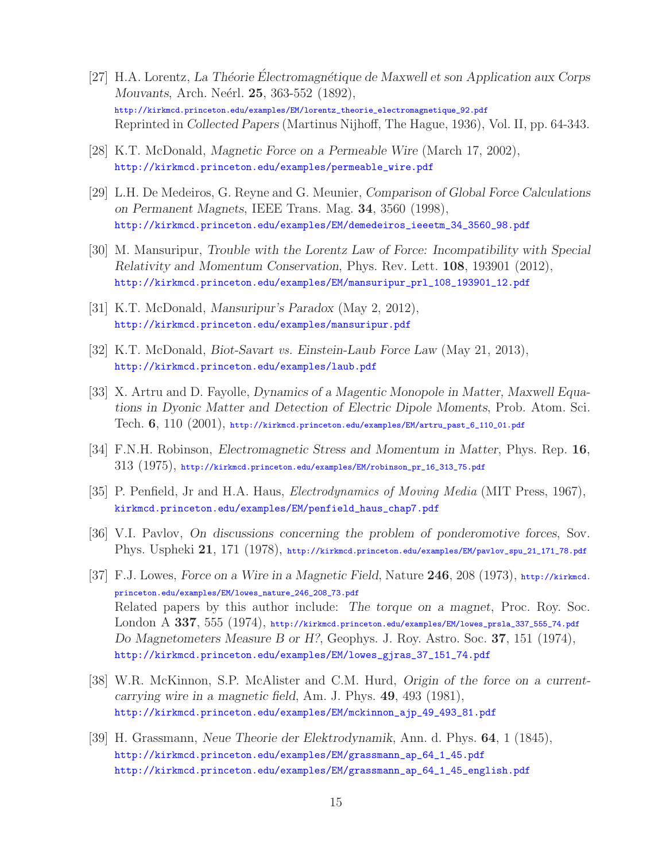- [27] H.A. Lorentz, *La Théorie Electromagnétique de Maxwell et son Application aux Corps Mouvants*, Arch. Neérl. **25**, 363-552 (1892), http://kirkmcd.princeton.edu/examples/EM/lorentz\_theorie\_electromagnetique\_92.pdf Reprinted in *Collected Papers* (Martinus Nijhoff, The Hague, 1936), Vol. II, pp. 64-343.
- [28] K.T. McDonald, *Magnetic Force on a Permeable Wire* (March 17, 2002), http://kirkmcd.princeton.edu/examples/permeable\_wire.pdf
- [29] L.H. De Medeiros, G. Reyne and G. Meunier, *Comparison of Global Force Calculations on Permanent Magnets*, IEEE Trans. Mag. **34**, 3560 (1998), http://kirkmcd.princeton.edu/examples/EM/demedeiros\_ieeetm\_34\_3560\_98.pdf
- [30] M. Mansuripur, *Trouble with the Lorentz Law of Force: Incompatibility with Special Relativity and Momentum Conservation*, Phys. Rev. Lett. **108**, 193901 (2012), http://kirkmcd.princeton.edu/examples/EM/mansuripur\_prl\_108\_193901\_12.pdf
- [31] K.T. McDonald, *Mansuripur's Paradox* (May 2, 2012), http://kirkmcd.princeton.edu/examples/mansuripur.pdf
- [32] K.T. McDonald, *Biot-Savart vs. Einstein-Laub Force Law* (May 21, 2013), http://kirkmcd.princeton.edu/examples/laub.pdf
- [33] X. Artru and D. Fayolle, *Dynamics of a Magentic Monopole in Matter, Maxwell Equations in Dyonic Matter and Detection of Electric Dipole Moments*, Prob. Atom. Sci. Tech. **6**, 110 (2001), http://kirkmcd.princeton.edu/examples/EM/artru\_past\_6\_110\_01.pdf
- [34] F.N.H. Robinson, *Electromagnetic Stress and Momentum in Matter*, Phys. Rep. **16**,  $313$   $(1975)$ , http://kirkmcd.princeton.edu/examples/EM/robinson\_pr\_16\_313\_75.pdf
- [35] P. Penfield, Jr and H.A. Haus, *Electrodynamics of Moving Media* (MIT Press, 1967), kirkmcd.princeton.edu/examples/EM/penfield\_haus\_chap7.pdf
- [36] V.I. Pavlov, *On discussions concerning the problem of ponderomotive forces*, Sov. Phys. Uspheki **21**, 171 (1978), http://kirkmcd.princeton.edu/examples/EM/pavlov\_spu\_21\_171\_78.pdf
- [37] F.J. Lowes, *Force on a Wire in a Magnetic Field*, Nature **246**, 208 (1973), http://kirkmcd. princeton.edu/examples/EM/lowes\_nature\_246\_208\_73.pdf Related papers by this author include: *The torque on a magnet*, Proc. Roy. Soc. London A **337**, 555 (1974), http://kirkmcd.princeton.edu/examples/EM/lowes\_prsla\_337\_555\_74.pdf *Do Magnetometers Measure B or H?*, Geophys. J. Roy. Astro. Soc. **37**, 151 (1974), http://kirkmcd.princeton.edu/examples/EM/lowes\_gjras\_37\_151\_74.pdf
- [38] W.R. McKinnon, S.P. McAlister and C.M. Hurd, *Origin of the force on a currentcarrying wire in a magnetic field*, Am. J. Phys. **49**, 493 (1981), http://kirkmcd.princeton.edu/examples/EM/mckinnon\_ajp\_49\_493\_81.pdf
- [39] H. Grassmann, *Neue Theorie der Elektrodynamik*, Ann. d. Phys. **64**, 1 (1845), http://kirkmcd.princeton.edu/examples/EM/grassmann\_ap\_64\_1\_45.pdf http://kirkmcd.princeton.edu/examples/EM/grassmann\_ap\_64\_1\_45\_english.pdf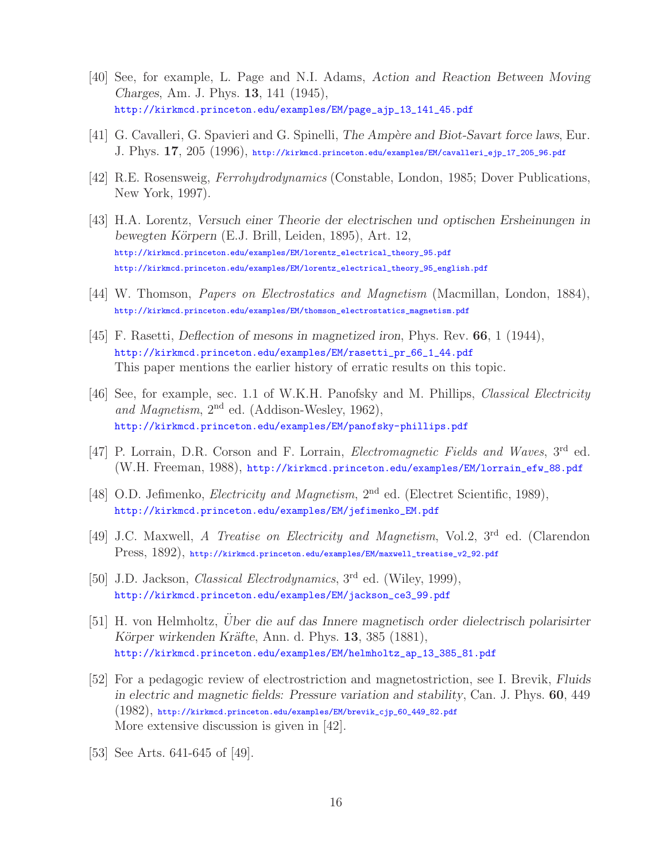- [40] See, for example, L. Page and N.I. Adams, *Action and Reaction Between Moving Charges*, Am. J. Phys. **13**, 141 (1945), http://kirkmcd.princeton.edu/examples/EM/page\_ajp\_13\_141\_45.pdf
- [41] G. Cavalleri, G. Spavieri and G. Spinelli, *The Amp`ere and Biot-Savart force laws*, Eur. J. Phys. **17**, 205 (1996), http://kirkmcd.princeton.edu/examples/EM/cavalleri\_ejp\_17\_205\_96.pdf
- [42] R.E. Rosensweig, *Ferrohydrodynamics* (Constable, London, 1985; Dover Publications, New York, 1997).
- [43] H.A. Lorentz, *Versuch einer Theorie der electrischen und optischen Ersheinungen in bewegten K¨orpern* (E.J. Brill, Leiden, 1895), Art. 12, http://kirkmcd.princeton.edu/examples/EM/lorentz\_electrical\_theory\_95.pdf http://kirkmcd.princeton.edu/examples/EM/lorentz\_electrical\_theory\_95\_english.pdf
- [44] W. Thomson, *Papers on Electrostatics and Magnetism* (Macmillan, London, 1884), http://kirkmcd.princeton.edu/examples/EM/thomson\_electrostatics\_magnetism.pdf
- [45] F. Rasetti, *Deflection of mesons in magnetized iron*, Phys. Rev. **66**, 1 (1944), http://kirkmcd.princeton.edu/examples/EM/rasetti\_pr\_66\_1\_44.pdf This paper mentions the earlier history of erratic results on this topic.
- [46] See, for example, sec. 1.1 of W.K.H. Panofsky and M. Phillips, *Classical Electricity and Magnetism*, 2nd ed. (Addison-Wesley, 1962), http://kirkmcd.princeton.edu/examples/EM/panofsky-phillips.pdf
- [47] P. Lorrain, D.R. Corson and F. Lorrain, *Electromagnetic Fields and Waves*, 3rd ed. (W.H. Freeman, 1988), http://kirkmcd.princeton.edu/examples/EM/lorrain\_efw\_88.pdf
- [48] O.D. Jefimenko, *Electricity and Magnetism*, 2<sup>nd</sup> ed. (Electret Scientific, 1989), http://kirkmcd.princeton.edu/examples/EM/jefimenko\_EM.pdf
- [49] J.C. Maxwell, *A Treatise on Electricity and Magnetism*, Vol.2, 3rd ed. (Clarendon Press, 1892), http://kirkmcd.princeton.edu/examples/EM/maxwell\_treatise\_v2\_92.pdf
- [50] J.D. Jackson, *Classical Electrodynamics*, 3rd ed. (Wiley, 1999), http://kirkmcd.princeton.edu/examples/EM/jackson\_ce3\_99.pdf
- [51] H. von Helmholtz, *Uber die auf das Innere magnetisch order dielectrisch polarisirter K¨orper wirkenden Kr¨afte*, Ann. d. Phys. **13**, 385 (1881), http://kirkmcd.princeton.edu/examples/EM/helmholtz\_ap\_13\_385\_81.pdf
- [52] For a pedagogic review of electrostriction and magnetostriction, see I. Brevik, *Fluids in electric and magnetic fields: Pressure variation and stability*, Can. J. Phys. **60**, 449  $(1982),$  http://kirkmcd.princeton.edu/examples/EM/brevik\_cjp\_60\_449\_82.pdf More extensive discussion is given in [42].
- [53] See Arts. 641-645 of [49].